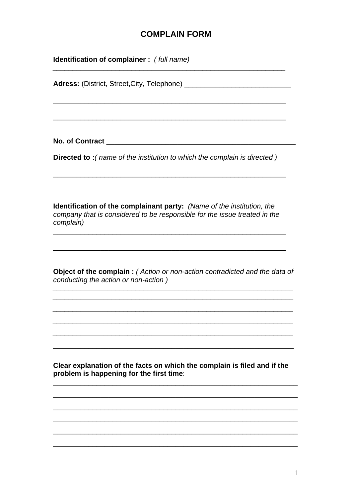## **COMPLAIN FORM**

| <b>Identification of complainer:</b> (full name)                                                                                                                        |  |
|-------------------------------------------------------------------------------------------------------------------------------------------------------------------------|--|
| <b>Adress:</b> (District, Street, City, Telephone) _______                                                                                                              |  |
|                                                                                                                                                                         |  |
| <b>No. of Contract</b>                                                                                                                                                  |  |
| Directed to: (name of the institution to which the complain is directed)                                                                                                |  |
| <b>Identification of the complainant party:</b> (Name of the institution, the<br>company that is considered to be responsible for the issue treated in the<br>complain) |  |
| <b>Object of the complain:</b> (Action or non-action contradicted and the data of<br>conducting the action or non-action)                                               |  |
|                                                                                                                                                                         |  |
| Clear explanation of the facts on which the complain is filed and if the<br>problem is happening for the first time:                                                    |  |
|                                                                                                                                                                         |  |
|                                                                                                                                                                         |  |
|                                                                                                                                                                         |  |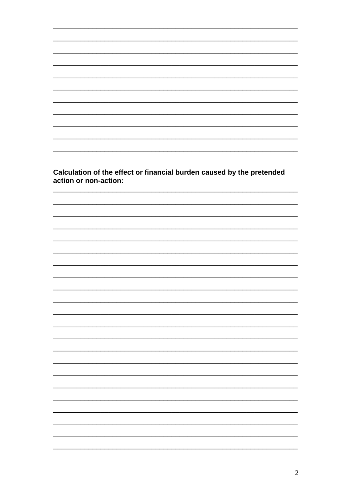Calculation of the effect or financial burden caused by the pretended action or non-action:

 $\sim$ 

 $\mathbb{R}^2$ 

÷.